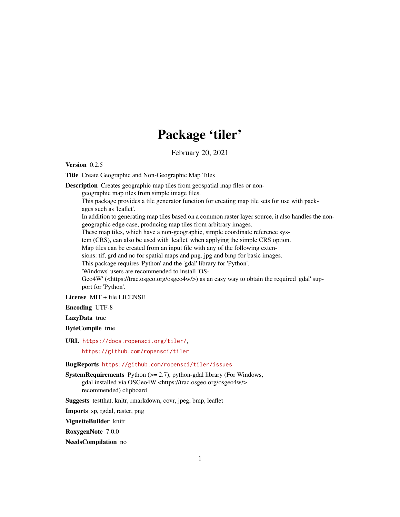# Package 'tiler'

February 20, 2021

Version 0.2.5

Title Create Geographic and Non-Geographic Map Tiles

Description Creates geographic map tiles from geospatial map files or non-

geographic map tiles from simple image files.

This package provides a tile generator function for creating map tile sets for use with packages such as 'leaflet'.

In addition to generating map tiles based on a common raster layer source, it also handles the nongeographic edge case, producing map tiles from arbitrary images.

These map tiles, which have a non-geographic, simple coordinate reference sys-

tem (CRS), can also be used with 'leaflet' when applying the simple CRS option.

Map tiles can be created from an input file with any of the following exten-

sions: tif, grd and nc for spatial maps and png, jpg and bmp for basic images.

This package requires 'Python' and the 'gdal' library for 'Python'.

'Windows' users are recommended to install 'OS-

Geo4W' (<https://trac.osgeo.org/osgeo4w/>) as an easy way to obtain the required 'gdal' support for 'Python'.

License MIT + file LICENSE

Encoding UTF-8

LazyData true

ByteCompile true

URL <https://docs.ropensci.org/tiler/>,

<https://github.com/ropensci/tiler>

BugReports <https://github.com/ropensci/tiler/issues>

SystemRequirements Python (>= 2.7), python-gdal library (For Windows, gdal installed via OSGeo4W <https://trac.osgeo.org/osgeo4w/> recommended) clipboard

Suggests testthat, knitr, rmarkdown, covr, jpeg, bmp, leaflet

Imports sp, rgdal, raster, png

VignetteBuilder knitr

RoxygenNote 7.0.0

NeedsCompilation no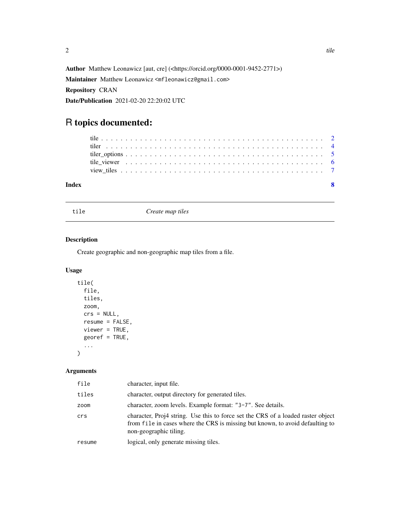<span id="page-1-0"></span>Author Matthew Leonawicz [aut, cre] (<https://orcid.org/0000-0001-9452-2771>) Maintainer Matthew Leonawicz <mfleonawicz@gmail.com> Repository CRAN Date/Publication 2021-02-20 22:20:02 UTC

## R topics documented:

| Index |  |  |  |  |  |  |  |  |  |  |  |  |  |  |  |  |  |  |  |  |  |
|-------|--|--|--|--|--|--|--|--|--|--|--|--|--|--|--|--|--|--|--|--|--|
|       |  |  |  |  |  |  |  |  |  |  |  |  |  |  |  |  |  |  |  |  |  |
|       |  |  |  |  |  |  |  |  |  |  |  |  |  |  |  |  |  |  |  |  |  |
|       |  |  |  |  |  |  |  |  |  |  |  |  |  |  |  |  |  |  |  |  |  |
|       |  |  |  |  |  |  |  |  |  |  |  |  |  |  |  |  |  |  |  |  |  |
|       |  |  |  |  |  |  |  |  |  |  |  |  |  |  |  |  |  |  |  |  |  |

<span id="page-1-1"></span>tile *Create map tiles*

#### Description

Create geographic and non-geographic map tiles from a file.

#### Usage

```
tile(
  file,
  tiles,
  zoom,
  crs = NULL,resume = FALSE,viewer = TRUE,georef = TRUE,
  ...
\mathcal{L}
```
#### Arguments

| file   | character, input file.                                                                                                                                                                      |
|--------|---------------------------------------------------------------------------------------------------------------------------------------------------------------------------------------------|
| tiles  | character, output directory for generated tiles.                                                                                                                                            |
| zoom   | character, zoom levels. Example format: "3-7". See details.                                                                                                                                 |
| crs    | character, Proj4 string. Use this to force set the CRS of a loaded raster object<br>from file in cases where the CRS is missing but known, to avoid defaulting to<br>non-geographic tiling. |
| resume | logical, only generate missing tiles.                                                                                                                                                       |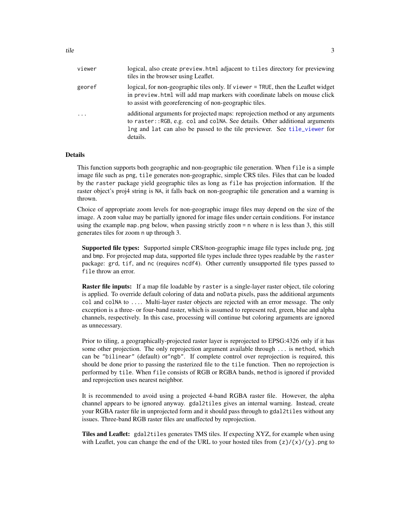<span id="page-2-0"></span>

| viewer     | logical, also create preview.html adjacent to tiles directory for previewing<br>tiles in the browser using Leaflet.                                                                                                                                   |
|------------|-------------------------------------------------------------------------------------------------------------------------------------------------------------------------------------------------------------------------------------------------------|
| georef     | logical, for non-geographic tiles only. If viewer = TRUE, then the Leaflet widget<br>in preview. html will add map markers with coordinate labels on mouse click<br>to assist with georeferencing of non-geographic tiles.                            |
| $\ddots$ . | additional arguments for projected maps: reprojection method or any arguments<br>to raster::RGB, e.g. col and colNA. See details. Other additional arguments<br>Ing and lat can also be passed to the tile previewer. See tile_viewer for<br>details. |

#### Details

This function supports both geographic and non-geographic tile generation. When file is a simple image file such as png, tile generates non-geographic, simple CRS tiles. Files that can be loaded by the raster package yield geographic tiles as long as file has projection information. If the raster object's proj4 string is NA, it falls back on non-geographic tile generation and a warning is thrown.

Choice of appropriate zoom levels for non-geographic image files may depend on the size of the image. A zoom value may be partially ignored for image files under certain conditions. For instance using the example map.png below, when passing strictly zoom  $=$  n where n is less than 3, this still generates tiles for zoom n up through 3.

Supported file types: Supported simple CRS/non-geographic image file types include png, jpg and bmp. For projected map data, supported file types include three types readable by the raster package: grd, tif, and nc (requires ncdf4). Other currently unsupported file types passed to file throw an error.

Raster file inputs: If a map file loadable by raster is a single-layer raster object, tile coloring is applied. To override default coloring of data and noData pixels, pass the additional arguments col and colNA to .... Multi-layer raster objects are rejected with an error message. The only exception is a three- or four-band raster, which is assumed to represent red, green, blue and alpha channels, respectively. In this case, processing will continue but coloring arguments are ignored as unnecessary.

Prior to tiling, a geographically-projected raster layer is reprojected to EPSG:4326 only if it has some other projection. The only reprojection argument available through ... is method, which can be "bilinear" (default) or"ngb". If complete control over reprojection is required, this should be done prior to passing the rasterized file to the tile function. Then no reprojection is performed by tile. When file consists of RGB or RGBA bands, method is ignored if provided and reprojection uses nearest neighbor.

It is recommended to avoid using a projected 4-band RGBA raster file. However, the alpha channel appears to be ignored anyway. gdal2tiles gives an internal warning. Instead, create your RGBA raster file in unprojected form and it should pass through to gdal2tiles without any issues. Three-band RGB raster files are unaffected by reprojection.

Tiles and Leaflet: gdal2tiles generates TMS tiles. If expecting XYZ, for example when using with Leaflet, you can change the end of the URL to your hosted tiles from  $\{z\}/\{x\}/\{y\}$ .png to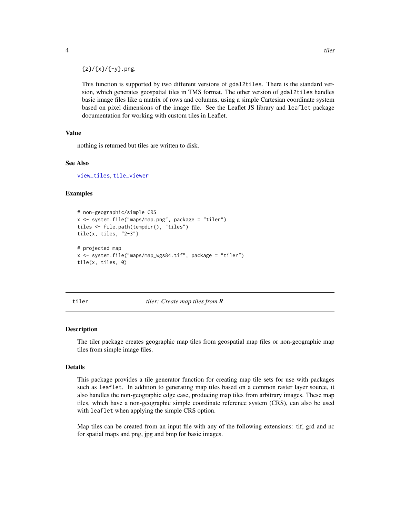$\{z\}/\{x\}/\{-y\}$ .png.

This function is supported by two different versions of gdal2tiles. There is the standard version, which generates geospatial tiles in TMS format. The other version of gdal2tiles handles basic image files like a matrix of rows and columns, using a simple Cartesian coordinate system based on pixel dimensions of the image file. See the Leaflet JS library and leaflet package documentation for working with custom tiles in Leaflet.

#### Value

nothing is returned but tiles are written to disk.

#### See Also

[view\\_tiles](#page-6-1), [tile\\_viewer](#page-5-1)

#### Examples

```
# non-geographic/simple CRS
x <- system.file("maps/map.png", package = "tiler")
tiles <- file.path(tempdir(), "tiles")
tile(x, tiles, "2-3")
# projected map
x <- system.file("maps/map_wgs84.tif", package = "tiler")
tile(x, tiles, 0)
```
tiler *tiler: Create map tiles from R*

#### Description

The tiler package creates geographic map tiles from geospatial map files or non-geographic map tiles from simple image files.

#### Details

This package provides a tile generator function for creating map tile sets for use with packages such as leaflet. In addition to generating map tiles based on a common raster layer source, it also handles the non-geographic edge case, producing map tiles from arbitrary images. These map tiles, which have a non-geographic simple coordinate reference system (CRS), can also be used with leaflet when applying the simple CRS option.

Map tiles can be created from an input file with any of the following extensions: tif, grd and nc for spatial maps and png, jpg and bmp for basic images.

<span id="page-3-0"></span>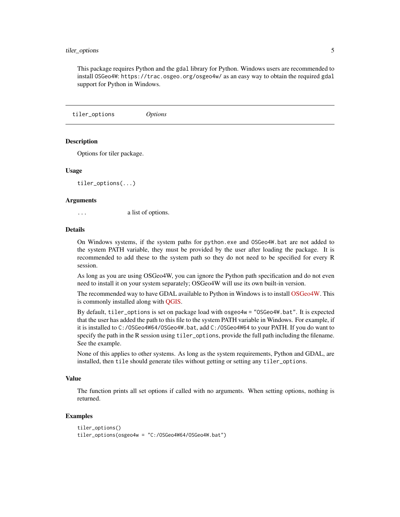#### <span id="page-4-0"></span>tiler\_options 5

This package requires Python and the gdal library for Python. Windows users are recommended to install OSGeo4W: https://trac.osgeo.org/osgeo4w/ as an easy way to obtain the required gdal support for Python in Windows.

tiler\_options *Options*

#### **Description**

Options for tiler package.

#### Usage

tiler\_options(...)

#### **Arguments**

... a list of options.

#### Details

On Windows systems, if the system paths for python.exe and OSGeo4W.bat are not added to the system PATH variable, they must be provided by the user after loading the package. It is recommended to add these to the system path so they do not need to be specified for every R session.

As long as you are using OSGeo4W, you can ignore the Python path specification and do not even need to install it on your system separately; OSGeo4W will use its own built-in version.

The recommended way to have GDAL available to Python in Windows is to install [OSGeo4W.](https://trac.osgeo.org/osgeo4w/) This is commonly installed along with [QGIS.](https://qgis.org/en/site/forusers/download.html)

By default, tiler\_options is set on package load with osgeo4w = "OSGeo4W.bat". It is expected that the user has added the path to this file to the system PATH variable in Windows. For example, if it is installed to C:/OSGeo4W64/OSGeo4W.bat, add C:/OSGeo4W64 to your PATH. If you do want to specify the path in the R session using tiler\_options, provide the full path including the filename. See the example.

None of this applies to other systems. As long as the system requirements, Python and GDAL, are installed, then tile should generate tiles without getting or setting any tiler\_options.

#### Value

The function prints all set options if called with no arguments. When setting options, nothing is returned.

#### Examples

```
tiler_options()
tiler_options(osgeo4w = "C:/OSGeo4W64/OSGeo4W.bat")
```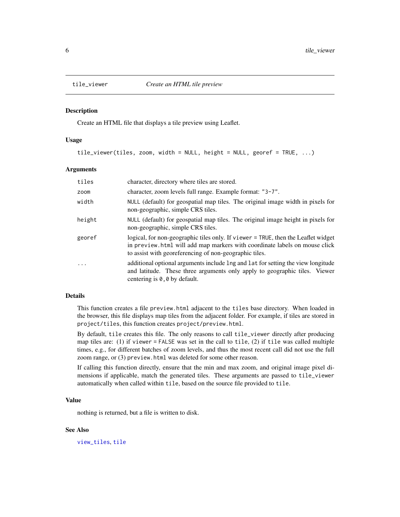<span id="page-5-1"></span><span id="page-5-0"></span>

#### Description

Create an HTML file that displays a tile preview using Leaflet.

#### Usage

tile\_viewer(tiles, zoom, width = NULL, height = NULL, georef = TRUE, ...)

#### Arguments

| tiles  | character, directory where tiles are stored.                                                                                                                                                                               |
|--------|----------------------------------------------------------------------------------------------------------------------------------------------------------------------------------------------------------------------------|
| zoom   | character, zoom levels full range. Example format: "3-7".                                                                                                                                                                  |
| width  | NULL (default) for geospatial map tiles. The original image width in pixels for<br>non-geographic, simple CRS tiles.                                                                                                       |
| height | NULL (default) for geospatial map tiles. The original image height in pixels for<br>non-geographic, simple CRS tiles.                                                                                                      |
| georef | logical, for non-geographic tiles only. If viewer = TRUE, then the Leaflet widget<br>in preview. html will add map markers with coordinate labels on mouse click<br>to assist with georeferencing of non-geographic tiles. |
| .      | additional optional arguments include lng and lat for setting the view longitude<br>and latitude. These three arguments only apply to geographic tiles. Viewer<br>centering is $\theta$ , $\theta$ by default.             |

#### Details

This function creates a file preview.html adjacent to the tiles base directory. When loaded in the browser, this file displays map tiles from the adjacent folder. For example, if tiles are stored in project/tiles, this function creates project/preview.html.

By default, tile creates this file. The only reasons to call tile\_viewer directly after producing map tiles are: (1) if viewer = FALSE was set in the call to tile, (2) if tile was called multiple times, e.g., for different batches of zoom levels, and thus the most recent call did not use the full zoom range, or (3) preview.html was deleted for some other reason.

If calling this function directly, ensure that the min and max zoom, and original image pixel dimensions if applicable, match the generated tiles. These arguments are passed to tile\_viewer automatically when called within tile, based on the source file provided to tile.

#### Value

nothing is returned, but a file is written to disk.

#### See Also

[view\\_tiles](#page-6-1), [tile](#page-1-1)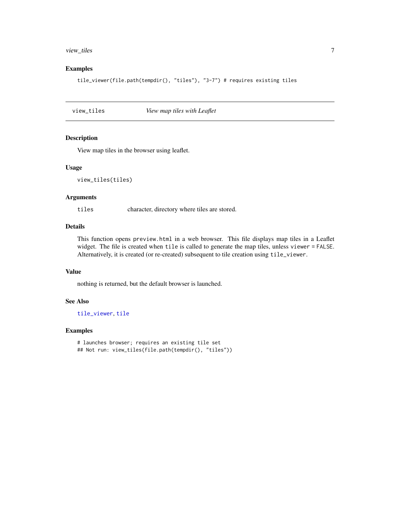#### <span id="page-6-0"></span>view\_tiles 7

#### Examples

tile\_viewer(file.path(tempdir(), "tiles"), "3-7") # requires existing tiles

<span id="page-6-1"></span>view\_tiles *View map tiles with Leaflet*

#### Description

View map tiles in the browser using leaflet.

#### Usage

```
view_tiles(tiles)
```
#### Arguments

tiles character, directory where tiles are stored.

### Details

This function opens preview.html in a web browser. This file displays map tiles in a Leaflet widget. The file is created when tile is called to generate the map tiles, unless viewer = FALSE. Alternatively, it is created (or re-created) subsequent to tile creation using tile\_viewer.

#### Value

nothing is returned, but the default browser is launched.

#### See Also

[tile\\_viewer](#page-5-1), [tile](#page-1-1)

#### Examples

```
# launches browser; requires an existing tile set
## Not run: view_tiles(file.path(tempdir(), "tiles"))
```